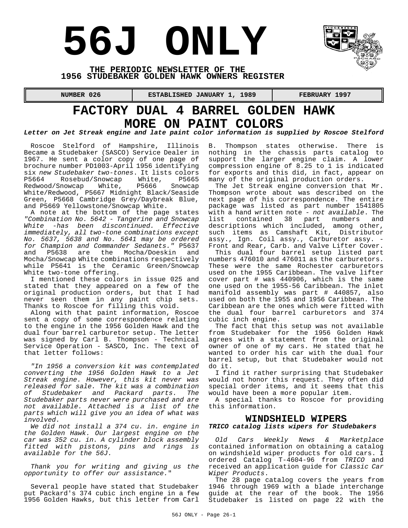# **56J ONLY**



#### **THE PERIODIC NEWSLETTER OF THE 1956 STUDEBAKER GOLDEN HAWK OWNERS REGISTER**

 **NUMBER 026 ESTABLISHED JANUARY 1, 1989 FEBRUARY 1997** 

## **FACTORY DUAL 4 BARREL GOLDEN HAWK MORE ON PAINT COLORS**

*Letter on Jet Streak engine and late paint color information is supplied by Roscoe Stelford*

Roscoe Stelford of Hampshire, Illinois Became a Studebaker (SASCO) Service Dealer in 1967. He sent a color copy of one page of brochure number PD1003-April 1956 identifying six *new Studebaker two-tones*. It lists colors P5664 Rosebud/Snowcap White, P5665 Redwood/Snowcap White/Redwood, P5667 Midnight Black/Seaside Green, P5668 Cambridge Grey/Daybreak Blue, and P5669 Yellowstone/Snowcap White.

A note at the bottom of the page states *"Combination No. 5642 - Tangerine and Snowcap White -has been discontinued. Effective immediately, all two-tone combinations except No. 5637, 5638 and No. 5641 may be ordered for Champion and Commander Sedanets."* P5637 and P5638 are the Mocha/Doeskin and Mocha/Snowcap White combinations respectively while P5641 is the Ceramic Green/Snowcap White two-tone offering.

I mentioned these colors in issue 025 and stated that they appeared on a few of the original production orders, but that I had never seen them in any paint chip sets. Thanks to Roscoe for filling this void.

Along with that paint information, Roscoe sent a copy of some correspondence relating to the engine in the 1956 Golden Hawk and the dual four barrel carburetor setup. The letter was signed by Carl B. Thompson - Technical Service Operation - SASCO, Inc. The text of that letter follows:

*"In 1956 a conversion kit was contemplated converting the 1956 Golden Hawk to a Jet Streak engine. However, this kit never was released for sale. The kit was a combination of Studebaker and Packard parts. The Studebaker parts never were purchased and are not available. Attached is a list of the parts which will give you an idea of what was involved.*

*We did not install a 374 cu. in. engine in the Golden Hawk. Our largest engine on the car was 352 cu. in. A cylinder block assembly fitted with pistons, pins and rings is available for the 56J.*

*Thank you for writing and giving us the opportunity to offer our assistance.*"

Several people have stated that Studebaker put Packard's 374 cubic inch engine in a few 1956 Golden Hawks, but this letter from Carl B. Thompson states otherwise. There is nothing in the chassis parts catalog to support the larger engine claim. A lower compression engine of 8.25 to 1 is indicated for exports and this did, in fact, appear on many of the original production orders.

The Jet Streak engine conversion that Mr. Thompson wrote about was described on the next page of his correspondence. The entire package was listed as part number 1541805 with a hand written note - *not available*. The list contained 38 part numbers and descriptions which included, among other, such items as Camshaft Kit, Distributor assy., Ign. Coil assy., Carburetor assy. - Front and Rear, Carb. and Valve Lifter Cover.

This dual four barrel setup listed part numbers 476010 and 476011 as the carburetors. These were the same Rochester carburetors used on the 1955 Caribbean. The valve lifter cover part # was 440906, which is the same one used on the 1955-56 Caribbean. The inlet manifold assembly was part # 440857, also used on both the 1955 and 1956 Caribbean. The Caribbean are the ones which were fitted with the dual four barrel carburetors and 374 cubic inch engine.

The fact that this setup was not available from Studebaker for the 1956 Golden Hawk agrees with a statement from the original owner of one of my cars. He stated that he wanted to order his car with the dual four barrel setup, but that Studebaker would not do it.

I find it rather surprising that Studebaker would not honor this request. They often did special order items, and it seems that this would have been a more popular item.

A special thanks to Roscoe for providing this information.

#### **WINDSHIELD WIPERS**

#### *TRICO catalog lists wipers for Studebakers*

*Old Cars Weekly News & Marketplace* contained information on obtaining a catalog on windshield wiper products for old cars. I ordered Catalog T-4604-96 from *TRICO* and received an application guide for *Classic Car Wiper Products*.

The 28 page catalog covers the years from 1946 through 1969 with a blade interchange guide at the rear of the book. The 1956 Studebaker is listed on page 22 with the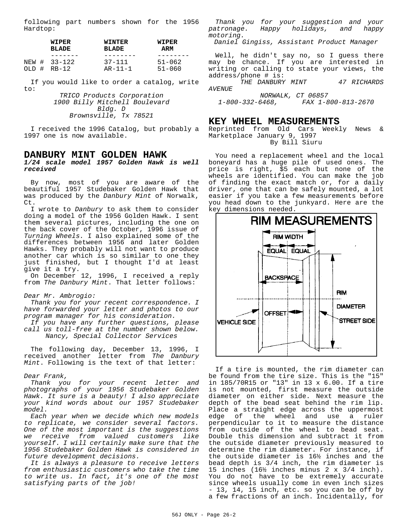following part numbers shown for the 1956 Hardtop:

|       | WIPER        | <b>WINTER</b> | WIPER      |
|-------|--------------|---------------|------------|
|       | <b>BLADE</b> | <b>BLADE</b>  | ARM        |
|       |              |               |            |
| OLD # | NEW # 33-122 | $37 - 111$    | $51 - 062$ |
|       | RB-12        | $AR - 11 - 1$ | $51 - 060$ |
|       |              |               |            |

If you would like to order a catalog, write to:

> *TRICO Products Corporation 1900 Billy Mitchell Boulevard Bldg. D Brownsville, Tx 78521*

I received the 1996 Catalog, but probably a 1997 one is now available.

#### **DANBURY MINT GOLDEN HAWK**

*1/24 scale model 1957 Golden Hawk is well received*

By now, most of you are aware of the beautiful 1957 Studebaker Golden Hawk that was produced by the *Danbury Mint* of Norwalk, Ct.

I wrote to *Danbury* to ask them to consider doing a model of the 1956 Golden Hawk. I sent them several pictures, including the one on the back cover of the October, 1996 issue of *Turning Wheels.* I also explained some of the differences between 1956 and later Golden Hawks. They probably will not want to produce another car which is so similar to one they just finished, but I thought I'd at least give it a try.

On December 12, 1996, I received a reply from *The Danbury Mint*. That letter follows:

#### *Dear Mr. Ambrogio:*

*Thank you for your recent correspondence. I have forwarded your letter and photos to our program manager for his consideration.*

*If you have any further questions, please call us toll-free at the number shown below. Nancy, Special Collector Services*

The following day, December 13, 1996, I received another letter from *The Danbury Mint*. Following is the text of that letter:

#### *Dear Frank,*

*Thank you for your recent letter and photographs of your 1956 Studebaker Golden Hawk. It sure is a beauty! I also appreciate your kind words about our 1957 Studebaker model.*

*Each year when we decide which new models to replicate, we consider several factors. One of the most important is the suggestions we receive from valued customers like yourself. I will certainly make sure that the 1956 Studebaker Golden Hawk is considered in future development decisions.*

*It is always a pleasure to receive letters from enthusiastic customers who take the time to write us. In fact, it's one of the most satisfying parts of the job!*

*Thank you for your suggestion and your patronage. Happy holidays, and happy motoring.*

*Daniel Gingiss, Assistant Product Manager*

Well, he didn't say no, so I guess there may be chance. If you are interested in writing or calling to state your views, the address/phone # is:

 *THE DANBURY MINT 47 RICHARDS AVENUE*

*NORWALK, CT 06857*<br>2-1-800-332-6468, FAX 1-8 *1-800-332-6468, FAX 1-800-813-2670*

#### **KEY WHEEL MEASUREMENTS**

Reprinted from Old Cars Weekly News & Marketplace January 9, 1997 By Bill Siuru

You need a replacement wheel and the local boneyard has a huge pile of used ones. The price is right, \$5 each but none of the wheels are identified. You can make the job of finding the exact match or, for a daily driver, one that can be safely mounted, a lot easier if you take a few measurements before you head down to the junkyard. Here are the key dimensions needed.



If a tire is mounted, the rim diameter can be found from the tire size. This is the "15" in 185/70R15 or "13" in 13 x 6.00. If a tire is not mounted, first measure the outside diameter on either side. Next measure the depth of the bead seat behind the rim lip. Place a straight edge across the uppermost edge of the wheel and use a ruler perpendicular to it to measure the distance from outside of the wheel to bead seat. Double this dimension and subtract it from the outside diameter previously measured to determine the rim diameter. For instance, if the outside diameter is 16½ inches and the bead depth is 3/4 inch, the rim diameter is 15 inches (16½ inches minus 2 x 3/4 inch). You do not have to be extremely accurate since wheels usually come in even inch sizes - 13, 14, 15 inch, etc. so you can be off by a few fractions of an inch. Incidentally, for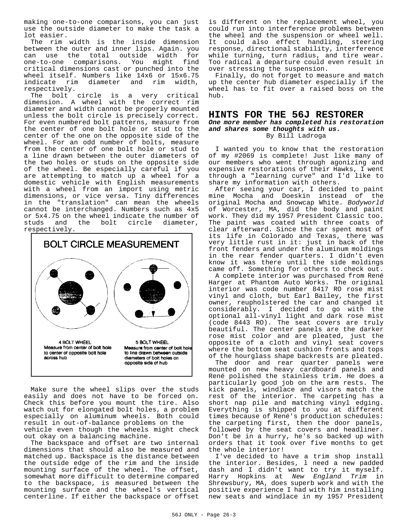making one-to-one comparisons, you can just use the outside diameter to make the task a lot easier.

The rim width is the inside dimension between the outer and inner lips. Again. you can use the total outside width for one-to-one comparisons. You might find critical dimensions cast or punched into the wheel itself. Numbers like 14x6 or 15x6.75 indicate rim diameter and rim width, respectively.

The bolt circle is a very critical dimension. A wheel with the correct rim diameter and width cannot be properly mounted unless the bolt circle is precisely correct. For even numbered bolt patterns, measure from the center of one bolt hole or stud to the center of the one on the opposite side of the wheel. For an odd number of bolts, measure from the center of one bolt hole or stud to a line drawn between the outer diameters of the two holes or studs on the opposite side of the wheel. Be especially careful if you are attempting to match up a wheel for a domestic vehicle with English measurements with a wheel from an import using metric dimensions, or vice versa. Tiny differences in the "translation" can mean the wheels cannot be interchanged. Numbers such as 4x5 or 5x4.75 on the wheel indicate the number of<br>studs and the bolt circle diameter, studs and the bolt respectively.



Make sure the wheel slips over the studs easily and does not have to be forced on. Check this before you mount the tire. Also watch out for elongated bolt holes, a problem especially on aluminum wheels. Both could result in out-of-balance problems on the vehicle even though the wheels might check out okay on a balancing machine.

The backspace and offset are two internal dimensions that should also be measured and matched up. Backspace is the distance between the outside edge of the rim and the inside mounting surface of the wheel. The offset, somewhat more difficult to determine compared to the backspace, is measured between the mounting surface and the wheel's vertical centerline. If either the backspace or offset is different on the replacement wheel, you could run into interference problems between the wheel and the suspension or wheel well. It could also effect handling, steering response, directional stability, interference while turning, turn radius, and tire wear. Too radical a departure could even result in over stressing the suspension.

Finally, do not forget to measure and match up the center hub diameter especially if the wheel has to fit over a raised boss on the hub.

#### **HINTS FOR THE 56J RESTORER**

#### *One more member has completed his restoration and shares some thoughts with us.* By Bill Ladroga

I wanted you to know that the restoration of my #2069 is complete! Just like many of our members who went through agonizing and expensive restorations of their Hawks, I went through a "learning curve" and I'd like to share my information with others.

After seeing your car, I decided to paint mine Mocha and Doeskin instead of the original Mocha and Snowcap White. *Bodyworld* of Worcester, MA, did the body and paint work. They did my 1957 President Classic too. The paint was coated with three coats of clear afterward. Since the car spent most of its life in Colorado and Texas, there was very little rust in it: just in back of the front fenders and under the aluminum moldings in the rear fender quarters. I didn't even know it was there until the side moldings came off. Something for others to check out.

A complete interior was purchased from René Harger at Phantom Auto Works. The original interior was code number 8417 RO rose mist vinyl and cloth, but Earl Bailey, the first owner, reupholstered the car and changed it considerably. I decided to go with the optional all-vinyl light and dark rose mist (code 8443 RO). The seat covers are truly beautiful. The center panels are the darker rose mist color and are pleated, just the opposite of a cloth and vinyl seat covers where the bottom seat cushion fronts and tops of the hourglass shape backrests are pleated.

The door and rear quarter panels were mounted on new heavy cardboard panels and René polished the stainless trim. He does a particularly good job on the arm rests. The kick panels, windlace and visors match the rest of the interior. The carpeting has a short nap pile and matching vinyl edging. Everything is shipped to you at different times because of René's production schedules: the carpeting first, then the door panels, followed by the seat covers and headliner. Don't be in a hurry, he's so backed up with orders that it took over five months to get the whole interior!

I've decided to have a trim shop install the interior. Besides, l need a new padded dash and I didn't want to try it myself. Harry Hopkins at *New England Trim* in Shrewsbury, MA, does superb work and with the positive experience I had with him installing new seats and windlace in my 1957 President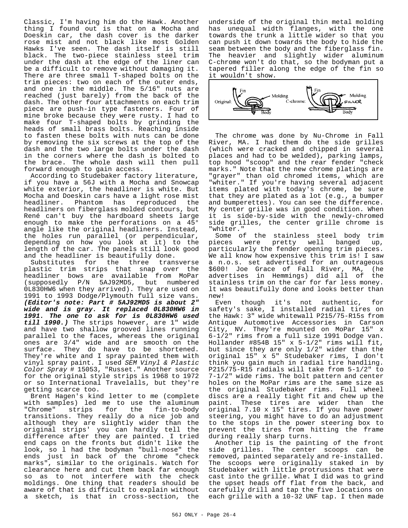Classic, I'm having him do the Hawk. Another thing I found out is that on a Mocha and Doeskin car, the dash cover is the darker rose mist and not black like most Golden Hawks I've seen. The dash itself is still black. The two-piece stainless steel trim under the dash at the edge of the liner can be a difficult to remove without damaging it. There are three small T-shaped bolts on the trim pieces: two on each of the outer ends, and one in the middle. The 5/16" nuts are reached (just barely) from the back of the dash. The other four attachments on each trim piece are push-in type fasteners. Four of mine broke because they were rusty. I had to make four T-shaped bolts by grinding the heads of small brass bolts. Reaching inside to fasten these bolts with nuts can be done by removing the six screws at the top of the dash and the two large bolts under the dash in the corners where the dash is bolted to the brace. The whole dash will then pull forward enough to gain access.

According to Studebaker factory literature, if you have a 56J with a Mocha and Snowcap white exterior, the headliner is white. But Mocha and Doeskin cars have a light rose mist headliner. Phantom has reproduced the headliners on fiberglass molded contours, but René can't buy the hardboard sheets large enough to make the perforations on a 45° angle like the original headliners. Instead, the holes run parallel (or perpendicular, depending on how you look at it) to the length of the car. The panels still look good and the headliner is beautifully done.

Substitutes for the three transverse plastic trim strips that snap over the headliner bows are available from MoPar (supposedly P/N 5AJ92MD5, but numbered 0L830HW6 when they arrived). They are used on 1991 to 1993 Dodge/Plymouth full size vans. *(Editor's note: Part # 5AJ92MD5 is about 2" wide and is gray. It replaced 0L830HW6 in 1991. The one to ask for is 0L830HW6 used till 1990.)* The strips however, are 1" wide and have two shallow grooved lines running parallel to the faces, whereas the original ones are 3/4" wide and are smooth on the surface. They do have to be shortened. They're white and I spray painted them with vinyl spray paint. I used *SEM Vinyl & Plastic Color Spray* # 15053, "Russet." Another source for the original style strips is 1968 to 1972 or so International Travelalls, but they're getting scarce too.

Brent Hagen's kind letter to me (complete with samples) led me to use the aluminum<br>"Chrome" strips for the fin-to-body fin-to-body transitions. They really do a nice job and although they are slightly wider than the original strips' you can hardly tell the difference after they are painted. I tried end caps on the fronts but didn't like the look, so l had the bodyman "bull-nose" the ends just in back of the chrome "check marks", similar to the originals. Watch for clearance here and cut them back far enough so as to not interfere with the check moldings. One thing that readers should be aware of that is difficult to explain without a sketch, is that in cross-section, the

underside of the original thin metal molding has unequal width flanges, with the one towards the trunk a little wider so that you can push it down towards the body to hide the seam between the body and the fiberglass fin. The heavier and slightly wider aluminum C-chrome won't do that, so the bodyman put a tapered filler along the edge of the fin so it wouldn't show.



The chrome was done by Nu-Chrome in Fall River, MA. I had them do the side grilles (which were cracked and chipped in several places and had to be welded), parking lamps, top hood "scoop" and the rear fender "check marks." Note that the new chrome platings are "grayer" than old chromed items, which are "whiter." If you're having several adjacent items plated with today's chrome, be sure that they are plated as a lot (e.g., a bumper and bumperettes). You can see the difference. My center grille was in good condition. When it is side-by-side with the newly-chromed side grilles, the center grille chrome is "whiter."

Some of the stainless steel body trim<br>ieces were pretty well banged up, pieces were pretty well banged up, particularly the fender opening trim pieces. We all know how expensive this trim is! I saw a n.o.s. set advertised for an outrageous \$600! Joe Grace of Fall River, MA, (he advertises in Hemmings) did all of the stainless trim on the car for far less money. lt was beautifully done and looks better than new!

Even though it's not authentic, for safety's sake, I installed radial tires on the Hawk: 3" wide whitewall P215/75-R15s from Antique Automotive Accessories in Carson City, NV. They're mounted on MoPar 15" x 6-1/2" rims from a full size 1991 Dodge van. Hollander #854B 15" x 5-1/2" rims will fit, but since they are only 1/2" wider than the original 15" x 5" Studebaker rims, I don't think you gain much in radial tire handling. P215/75-R15 radials will take from 5-1/2" to 7-1/2" wide rims. The bolt pattern and center holes on the MoPar rims are the same size as the original Studebaker rims. Full wheel discs are a really tight fit and chew up the paint. These tires are wider than the original 7.10 x 15" tires. If you have power steering, you might have to do an adjustment to the stops in the power steering box to prevent the tires from hitting the frame during really sharp turns.

Another tip is the painting of the front side grilles. The center scoops can be removed, painted separately and re-installed. The scoops were originally staked in by Studebaker with little protrusions that were cast into the grille. What I did was to grind the upset heads off flat from the back, and carefully drill and tap the five locations on each grille with a 10-32 UNF tap. I then made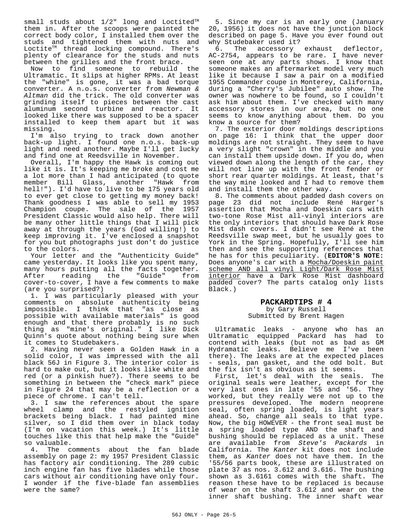small studs about  $1/2$ " long and Loctited $TM$ them in. After the scoops were painted the correct body color, I installed them over the studs and tightened them with nuts and Loctite<sup>™</sup> thread locking compound. There's plenty of clearance for the studs and nuts between the grilles and the front brace.

Now to find someone to rebuild the Ultramatic. It slips at higher RPMs. At least the "whine" is gone, it was a bad torque converter. A n.o.s. converter from *Newman & Altman* did the trick. The old converter was grinding itself to pieces between the cast aluminum second turbine and reactor. It looked like there was supposed to be a spacer installed to keep them apart but it was missing.

I'm also trying to track down another back-up light. I found one n.o.s. back-up light and need another. Maybe I'll get lucky and find one at Reedsville in November.

Overall, I'm happy the Hawk is coming out like it is. It's keeping me broke and cost me a lot more than I had anticipated (to quote member Bill Glass, another "Hawk from hell!"). I'd have to live to be 175 years old to ever get close to getting my money back! Thank goodness I was able to sell my 1953 Champion coupe. The sale of the 1957 President Classic would also help. There will be many other little things that I will pick away at through the years (God willing!) to keep improving it. I've enclosed a snapshot for you but photographs just don't do justice to the colors.

Your letter and the "Authenticity Guide" came yesterday. It looks like you spent many, many hours putting all the facts together.<br>After reading the "Guide" from After reading the "Guide" from cover-to-cover, I have a few comments to make (are you surprised?)

1. I was particularly pleased with your comments on absolute authenticity being impossible. I think that "as close as possible with available materials" is good enough and that there probably is no such thing as "mine's original." I like Dick Quinn's quote about nothing being sure when it comes to Studebakers.

2. Having never seen a Golden Hawk in a solid color, I was impressed with the all black 56J in Figure 3. The interior color is hard to make out, but it looks like white and red (or a pinkish hue?). There seems to be something in between the "check mark" piece in Figure 24 that may be a reflection or a piece of chrome. I can't tell.

3. I saw the references about the spare wheel clamp and the restyled ignition brackets being black. I had painted mine silver, so I did them over in black today (I'm on vacation this week.) It's little touches like this that help make the "Guide" so valuable.

4. The comments about the fan blade assembly on page 2: my 1957 President Classic has factory air conditioning. The 289 cubic inch engine fan has five blades while those cars without air conditioning have only four. I wonder if the five-blade fan assemblies were the same?

5. Since my car is an early one (January 20, 1956) it does not have the junction block described on page 5. Have you ever found out why Studebaker used it?

6. The accessory exhaust deflector, AC-2754, appears to be rare. I have never seen one at any parts shows. I know that someone makes an aftermarket model very much like it because I saw a pair on a modified 1955 Commander coupe in Monterey, California, during a "Cherry's Jubilee" auto show. The owner was nowhere to be found, so I couldn't ask him about them. I've checked with many accessory stores in our area, but no one seems to know anything about them. Do you know a source for them?

7. The exterior door moldings descriptions on page 16: I think that the upper door moldings are not straight. They seem to have a very slight "crown" in the middle and you can install them upside down. If you do, when viewed down along the length of the car, they will not line up with the front fender or short rear quarter moldings. At least, that's the way mine looked and I had to remove them and install them the other way.

8. The comments about padded dash covers on page 23 did not include René Harger's assertion that Mocha and Doeskin cars with two-tone Rose Mist all-vinyl interiors are the only interiors that should have Dark Rose Mist dash covers. I didn't see René at the Reedsville swap meet, but he usually goes to York in the Spring. Hopefully, I'll see him then and see the supporting references that he has for this peculiarity. (**EDITOR'S NOTE:** Does anyone's car with a Mocha/Doeskin paint scheme AND all vinyl Light/Dark Rose Mist interior have a Dark Rose Mist dashboard padded cover? The parts catalog only lists Black.)

#### **PACKARDTIPS # 4** by Gary Russell

Submitted by Brent Hagen

Ultramatic leaks - anyone who has an Ultramatic equipped Packard has had to contend with leaks (but not as bad as GM Hydramatic leaks. Believe me I've been there). The leaks are at the expected places - seals, pan gasket, and the odd bolt. But the fix isn't as obvious as it seems.

First, let's deal with the seals. The original seals were leather, except for the very last ones in late '55 and '56. They worked, but they really were not up to the pressures developed. The modern neoprene seal, often spring loaded, is light years ahead. So, change all seals to that type. Now, the big HOWEVER - the front seal must be a spring loaded type AND the shaft and bushing should be replaced as a unit. These are available from *Steve's Packards* in California. The *Kanter* kit does not include them, as *Kanter* does not have them. In the '55/56 parts book, these are illustrated on plate 37 as nos. 3.612 and 3.616. The bushing shown as 3.6161 comes with the shaft. The reason these have to be replaced is because of wear on the shaft 3.612 and wear on the inner shaft bushing. The inner shaft wear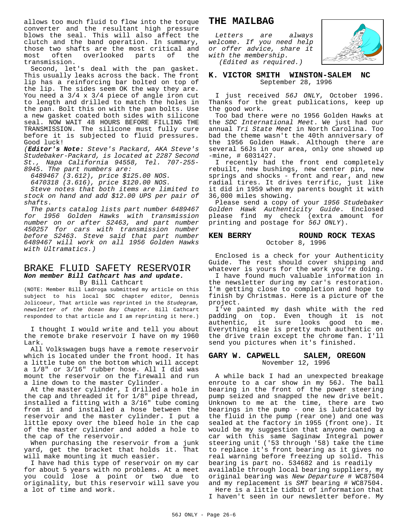allows too much fluid to flow into the torque converter and the resultant high pressure blows the seal. This will also affect the clutch and the band operation. In summary, those two shafts are the most critical and most often overlooked parts of the transmission.

Second, let's deal with the pan gasket. This usually leaks across the back. The front lip has a reinforcing bar bolted on top of the lip. The sides seem OK the way they are. You need a 3/4 x 3/4 piece of angle iron cut to length and drilled to match the holes in the pan. Bolt this on with the pan bolts. Use a new gasket coated both sides with silicone seal. NOW WAIT 48 HOURS BEFORE FILLING THE TRANSMISSION. The silicone must fully cure before it is subjected to fluid pressures. Good luck!

*(Editor's Note: Steve's Packard, AKA Steve's Studebaker-Packard, is located at 2287 Second St., Napa California 94558, Tel. 707-255- 8945. The part numbers are:*

*6489467 (3.612), price \$125.00 NOS.*

*6470318 (3.616), price \$120.00 NOS.*

*Steve notes that both items are limited to stock on hand and add \$12.00 UPS per pair of shafts.*

*The parts catalog lists part number 6489467 for 1956 Golden Hawks with transmission number on or after S2463, and part number 450257 for cars with transmission number before S2463. Steve said that part number 6489467 will work on all 1956 Golden Hawks with Ultramatics.)*

#### BRAKE FLUID SAFETY RESERVOIR *Non member Bill Cathcart has and update.* By Bill Cathcart

(NOTE: Member Bill Ladroga submitted my article on this subject to his local SDC chapter editor, Dennis Jolicoeur, That article was reprinted in the *Studegram, newsletter of the Ocean Bay Chapter*. Bill Cathcart responded to that article and I am reprinting it here.)

I thought I would write and tell you about the remote brake reservoir I have on my 1960 Lark.

All Volkswagen bugs have a remote reservoir which is located under the front hood. It has a little tube on the bottom which will accept a 1/8" or 3/16" rubber hose. All I did was mount the reservoir on the firewall and run a line down to the master Cylinder.

At the master cylinder, I drilled a hole in the cap and threaded it for 1/8" pipe thread, installed a fitting with a 3/16" tube coming from it and installed a hose between the reservoir and the master cylinder. I put a little epoxy over the bleed hole in the cap of the master cylinder and added a hole to the cap of the reservoir.

When purchasing the reservoir from a junk yard, get the bracket that holds it. That will make mounting it much easier.

I have had this type of reservoir on my car for about 5 years with no problems. At a meet you could lose a point or two due to originality, but this reservoir will save you a lot of time and work.

#### **THE MAILBAG**

*Letters are always welcome. If you need help or offer advice, share it with the membership. (Edited as required.)*



#### **K. VICTOR SMITH WINSTON-SALEM NC** September 28, 1996

I just received *56J ONLY*, October 1996. Thanks for the great publications, keep up the good work.

Too bad there were no 1956 Golden Hawks at the *SDC International Meet*. We just had our annual *Tri State Meet* in North Carolina. Too bad the theme wasn't the 40th anniversary of the 1956 Golden Hawk. Although there are several 56Js in our area, only one showed up -mine, # 6031427.

I recently had the front end completely rebuilt, new bushings, new center pin, new springs and shocks - front and rear, and new radial tires. It drives terrific, just like it did in 1959 when my parents bought it with 36,000 miles showing.

Please send a copy of your *1956 Studebaker Golden Hawk Authenticity Guide*. Enclosed please find my check (extra amount for printing and postage for *56J ONLY*).

#### **KEN BERRY ROUND ROCK TEXAS** October 8, 1996

Enclosed is a check for your Authenticity Guide. The rest should cover shipping and whatever is yours for the work you're doing.

I have found much valuable information in the newsletter during my car's restoration. I'm getting close to completion and hope to finish by Christmas. Here is a picture of the project.

I've painted my dash white with the red padding on top. Even though it is not authentic, it sure looks good to me. Everything else is pretty much authentic on the drive train except the chrome fan. I'll send you pictures when it's finished.

#### **GARY W. CAPWELL SALEM, OREGON** November 12, 1996

A while back I had an unexpected breakage enroute to a car show in my 56J. The ball bearing in the front of the power steering pump seized and snapped the new drive belt. Unknown to me at the time, there are two bearings in the pump - one is lubricated by the fluid in the pump (rear one) and one was sealed at the factory in 1955 (front one). It would be my suggestion that anyone owning a car with this same Saginaw Integral power steering unit ('53 through '58) take the time to replace it's front bearing as it gives no real warning before freezing up solid. This bearing is part no. 534682 and is readily available through local bearing suppliers, my original bearing was *New Departure* # WC87504 and my replacement is *SMT* bearing # WC87504.

Here is a little tidbit of information that I haven't seen in our newsletter before. My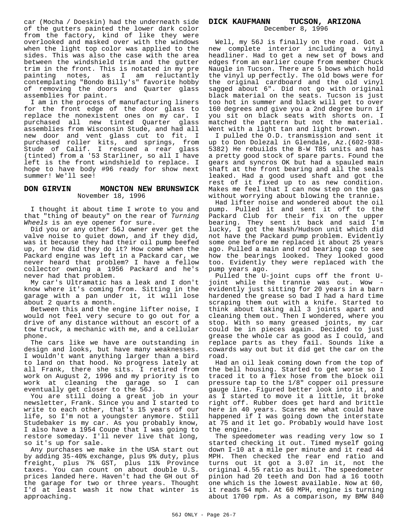car (Mocha / Doeskin) had the underneath side of the gutters painted the lower dark color from the factory, kind of like they were overlooked and masked over with the windows when the light top color was applied to the sides. This was also the case with the area between the windshield trim and the gutter trim in the front. This is notated in my pre painting notes, as I am reluctantly contemplating "Bondo Billy's" favorite hobby of removing the doors and Quarter glass assemblies for paint.

I am in the process of manufacturing liners for the front edge of the door glass to replace the nonexistent ones on my car. I purchased all new tinted Quarter glass assemblies from Wisconsin Stude, and had all new door and vent glass cut to fit. I purchased roller kits, and springs, from Stude of Calif. I rescued a rear glass (tinted) from a '53 Starliner, so all I have left is the front windshield to replace. I hope to have body #96 ready for show next summer! We'll see!

#### **DON GIRVIN MONCTON NEW BRUNSWICK** November 18, 1996

I thought it about time I wrote to you and that "thing of beauty" on the rear of *Turning Wheels* is an eye opener for sure.

Did you or any other 56J owner ever get the valve noise to quiet down, and if they did, was it because they had their oil pump beefed up, or how did they do it? How come when the Packard engine was left in a Packard car, we never heard that problem? I have a fellow collector owning a 1956 Packard and he's never had that problem.

My car's Ultramatic has a leak and I don't know where it's coming from. Sitting in the garage with a pan under it, it will lose about 2 quarts a month.

Between this and the engine lifter noise, I would not feel very secure to go out for a drive of any distance without an escort of a tow truck, a mechanic with me, and a cellular phone.

The cars like we have are outstanding in design and looks, but have many weaknesses. I wouldn't want anything larger than a bird to land on that hood. No progress lately at all Frank, there she sits. I retired from work on August 2, 1996 and my priority is to work at cleaning the garage so I can eventually get closer to the 56J.

You are still doing a great job in your newsletter, Frank. Since you and I started to write to each other, that's 15 years of our life, so I'm not a youngster anymore. Still Studebaker is my car. As you probably know, I also have a 1954 Coupe that I was going to restore someday. I'll never live that long, so it's up for sale.

Any purchases we make in the USA start out by adding 35-40% exchange, plus 9% duty, plus freight, plus 7% GST, plus 11% Province taxes. You can count on about double U.S. prices landed here. Haven't had the GH out of the garage for two or three years. Thought I'd at least wash it now that winter is approaching.

#### **DICK KAUFMANN TUCSON, ARIZONA**

December 8, 1996

Well, my 56J is finally on the road. Got a new complete interior including a vinyl headliner. Had to get a new set of bows and edges from an earlier coupe from member Chuck Naugle in Tucson. There are 5 bows which hold the vinyl up perfectly. The old bows were for the original cardboard and the old vinyl sagged about 6". Did not go with original black material on the seats. Tucson is just too hot in summer and black will get to over 160 degrees and give you a 2nd degree burn if you sit on black seats with shorts on. I matched the pattern but not the material. Went with a light tan and light brown.

I pulled the O.D. transmission and sent it up to Don Dolezal in Glendale, Az.(602-938- 5382) He rebuilds the B-W T85 units and has a pretty good stock of spare parts. Found the gears and syncros OK but had a spauled main shaft at the front bearing and all the seals leaked. Had a good used shaft and got the rest of it fixed up to as new condition. Makes me feel that I can now step on the gas without worrying about blowing the trannie.

Had lifter noise and wondered about the oil pump. Pulled it and sent it off to the Packard Club for their fix on the upper bearing. They sent it back and said I'm lucky, I got the Nash/Hudson unit which did not have the Packard pump problem. Evidently some one before me replaced it about 25 years ago. Pulled a main and rod bearing cap to see how the bearings looked. They looked good too. Evidently they were replaced with the pump years ago.

Pulled the U-joint cups off the front Ujoint while the trannie was out. Wow evidently just sitting for 20 years in a barn hardened the grease so bad I had a hard time scraping them out with a knife. Started to think about taking all 3 joints apart and cleaning them out. Then I wondered, where you stop. With so many greased joints, my car could be in pieces again. Decided to just grease the whole car as good as I could, and replace parts as they fail. Sounds like a cowards way out but it did get the car on the road.

Had an oil leak coming down from the top of the bell housing. Started to get worse so I traced it to a flex hose from the block oil pressure tap to the 1/8" copper oil pressure gauge line. Figured better look into it, and as I started to move it a little, it broke right off. Rubber does get hard and brittle here in 40 years. Scares me what could have happened if I was going down the interstate at 75 and it let go. Probably would have lost the engine.

The speedometer was reading very low so I started checking it out. Timed myself going down I-10 at a mile per minute and it read 44 MPH. Then checked the rear end ratio and turns out it got a 3.07 in it, not the original 4.55 ratio as built. The speedometer pinion had 20 teeth and Don had a 16 tooth one which is the lowest available. Now at 60, it reads 54 mph. At 60 MPH, engine is turning about 1700 rpm. As a comparison, my BMW 840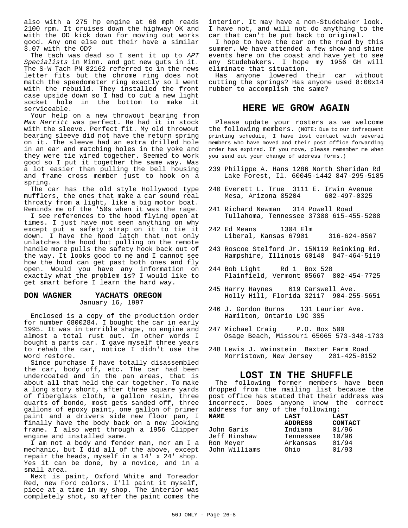also with a 275 hp engine at 60 mph reads 2100 rpm. It cruises down the highway OK and with the OD kick down for moving out works good. Any one else out their have a similar 3.07 with the OD?

The tach was dead so I sent it up to *APT Specialists* in Minn. and got new guts in it. The S-W Tach PN 82162 referred to in the news letter fits but the chrome ring does not match the speedometer ring exactly so I went with the rebuild. They installed the front case upside down so I had to cut a new light socket hole in the bottom to make it serviceable.

Your help on a new throwout bearing from *Max Merritt* was perfect. He had it in stock with the sleeve. Perfect fit. My old throwout bearing sleeve did not have the return spring on it. The sleeve had an extra drilled hole in an ear and matching holes in the yoke and they were tie wired together. Seemed to work good so I put it together the same way. Was a lot easier than pulling the bell housing and frame cross member just to hook on a spring.

The car has the old style Hollywood type mufflers, the ones that make a car sound real throaty from a light, like a big motor boat. Reminds me of the '50s when it was the rage.

I see references to the hood flying open at times. I just have not seen anything on why except put a safety strap on it to tie it down. I have the hood latch that not only unlatches the hood but pulling on the remote handle more pulls the safety hook back out of the way. It looks good to me and I cannot see how the hood can get past both ones and fly open. Would you have any information on exactly what the problem is? I would like to get smart before I learn the hard way.

### **DON WAGNER YACHATS OREGON**

January 16, 1997

Enclosed is a copy of the production order for number 6800284. I bought the car in early 1995. It was in terrible shape, no engine and almost a total rust out. In other words I bought a parts car. I gave myself three years to rehab the car, notice I didn't use the word restore.

Since purchase I have totally disassembled the car, body off, etc. The car had been undercoated and in the pan areas, that is about all that held the car together. To make a long story short, after three square yards of fiberglass cloth, a gallon resin, three quarts of bondo, most gets sanded off, three gallons of epoxy paint, one gallon of primer paint and a drivers side new floor pan, I finally have the body back on a new looking frame. I also went through a 1956 Clipper engine and installed same.

I am not a body and fender man, nor am I a mechanic, but I did all of the above, except repair the heads, myself in a 14' x 24' shop. Yes it can be done, by a novice, and in a small area.

Next is paint, Oxford White and Toreador Red, new Ford colors. I'll paint it myself, piece at a time in my shop. The interior was completely shot, so after the paint comes the interior. It may have a non-Studebaker look. I have not, and will not do anything to the car that can't be put back to original.

I hope to have the car on the road by this summer. We have attended a few show and shine events here on the coast and have yet to see any Studebakers. I hope my 1956 GH will eliminate that situation.

Has anyone lowered their car without cutting the springs? Has anyone used 8:00x14 rubber to accomplish the same?

#### **HERE WE GROW AGAIN**

Please update your rosters as we welcome the following members. (NOTE: Due to our infrequent printing schedule, I have lost contact with several members who have moved and their post office forwarding order has expired. If you move, please remember me when you send out your change of address forms.)

- 239 Philippe A. Hans 1286 North Sheridan Rd Lake Forest, Il. 60045-1442 847-295-5185
- 240 Everett L. True 3111 E. Irwin Avenue Mesa, Arizona 85204
- 241 Richard Newman 314 Powell Road Tullahoma, Tennessee 37388 615-455-5288
- 242 Ed Means 1304 Elm Liberal, Kansas 67901 316-624-0567
- 243 Roscoe Stelford Jr. 15N119 Reinking Rd. Hampshire, Illinois 60140 847-464-5119
- 244 Bob Light Rd 1 Box 520 Plainfield, Vermont 05667 802-454-7725
- 245 Harry Haynes 619 Carswell Ave. Holly Hill, Florida 32117 904-255-5651
- 246 J. Gordon Burns 131 Laurier Ave. Hamilton, Ontario L9C 3S5
- 247 Michael Craig P.O. Box 500 Osage Beach, Missouri 65065 573-348-1733
- 248 Lewis J. Weinstein Baxter Farm Road Morristown, New Jersey 201-425-0152

#### **LOST IN THE SHUFFLE**

The following former members have been dropped from the mailing list because the post office has stated that their address was incorrect. Does anyone know the correct address for any of the following:

| <b>NAME</b>   | LAST           | LAST           |  |
|---------------|----------------|----------------|--|
|               | <b>ADDRESS</b> | <b>CONTACT</b> |  |
| John Garis    | Indiana        | 01/96          |  |
| Jeff Hinshaw  | Tennessee      | 10/96          |  |
| Ron Meyer     | Arkansas       | 01/94          |  |
| John Williams | Ohio           | 01/93          |  |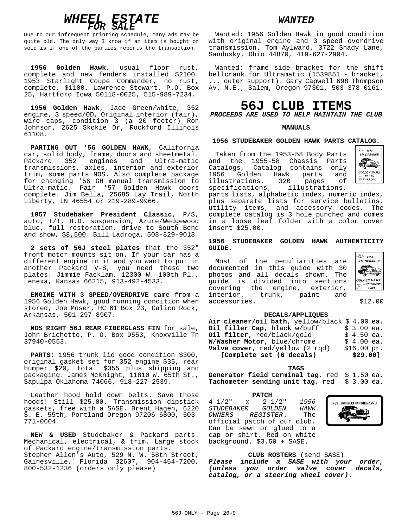

Due to our infrequent printing schedule, many ads may be quite old. The only way I know if an item is bought or sold is if one of the parties reports the transaction.

**1956 Golden Hawk**, usual floor rust, complete and new fenders installed \$2100. 1953 Starlight Coupe Commander, no rust, complete, \$1100. Lawrence Stewart, P.O. Box 25, Hartford Iowa 50118-0025, 515-989-7234.

**1956 Golden Hawk**, Jade Green/White, 352 engine, 3 speed/OD, Original interior (fair), wire caps, condition 3 (a 20 footer) Ron Johnson, 2625 Skokie Dr, Rockford Illinois 61108.

**PARTING OUT '56 GOLDEN HAWK**, California car, solid body, frame, doors and sheetmetal. Packard 352 engines and Ultra-matic transmissions, axles, interior and exterior trim, some parts NOS. Also complete package for changing '56 GH manual transmission to Ultra-matic. Pair '57 Golden Hawk doors complete. Jim Bella, 25685 Lay Trail, North Liberty, IN 46554 or 219-289-9966.

**1957 Studebaker President Classic**, P/S, auto, T/T, H.D. suspension, Azure/Wedgewood blue, full restoration, drive to South Bend and show, \$8,500. Bill Ladroga, 508-829-9018.

**2 sets of 56J steel plates** that the 352" front motor mounts sit on. If your car has a different engine in it and you want to put in another Packard V-8, you need these two plates. Jimmie Facklam, 12300 W. 100th Pl., Lenexa, Kansas 66215, 913-492-4533.

**ENGINE WITH 3 SPEED/OVERDRIVE** came from a 1956 Golden Hawk, good running condition when stored, Joe Moser, HC 61 Box 23, Calico Rock, Arkansas, 501-297-8907.

**NOS RIGHT 56J REAR FIBERGLASS FIN** for sale, John Brichetto, P. O. Box 9553, Knoxville Tn 37940-0553.

**PARTS**: 1956 trunk lid good condition \$300, original gasket set for 352 engine \$35, rear bumper \$20, total \$355 plus shipping and packaging. James McKnight, 11810 W. 65th St., Sapulpa Oklahoma 74066, 918-227-2539.

Leather hood hold down belts. Save those hoods! Still \$25.00. Transmission dipstick gaskets, free with a SASE. Brent Hagen, 6220 S. E. 55th, Portland Oregon 97206-6800, 503- 771-0604

**NEW & USED** Studebaker & Packard parts. Mechanical, electrical, & trim. Large stock of Packard engine/transmission parts. Stephen Allen's Auto, 529 N. W. 58th Street, Gainesville, Florida 32607, 904-454-7200, 800-532-1236 (orders only please)

#### *WANTED*

Wanted: 1956 Golden Hawk in good condition with original engine and 3 speed overdrive transmission. Tom Aylward, 3722 Shady Lane, Sandusky, Ohio 44870, 419-627-2904.

Wanted: frame side bracket for the shift bellcrank for Ultramatic (1539851 - bracket, ... outer support). Gary Capwell 698 Thompson Av. N.E., Salem, Oregon 97301, 503-378-0161.

## **56J CLUB ITEMS**

*PROCEEDS ARE USED TO HELP MAINTAIN THE CLUB*

#### **MANUALS**

#### **1956 STUDEBAKER GOLDEN HAWK PARTS CATALOG.**

Taken from the 1953-58 Body Parts and the 1955-58 Chassis Parts Catalogs, Catalog contains only 1956 Golden Hawk parts and<br>illustrations. 320 pages of illustrations. 320 pages of<br>specifications, illustrations, illustrations,



parts lists, alphabetic index, numeric index, plus separate lists for service bulletins, utility items, and accessory codes. The complete catalog is 3 hole punched and comes in a loose leaf folder with a color cover insert \$25.00.

#### **1956 STUDEBAKER GOLDEN HAWK AUTHENTICITY GUIDE.**

Most of the peculiarities are documented in this guide with 30 photos and all decals shown. The guide is divided into sections covering the engine, exterior, interior, trunk, paint and accessories.  $$12.00$ 



#### **DECALS/APPLIQUES**

| Air cleaner/oil bath, yellow/black \$4.00 ea. |             |  |
|-----------------------------------------------|-------------|--|
| Oil filler Cap, black w/buff                  | $$3.00$ ea. |  |
| Oil filter, red/black/gold                    | $$4.50$ ea. |  |
| W/Washer Motor, blue/chrome                   | $$4.00$ ea. |  |
| <b>Valve cover</b> , $red/yellow$ (2 $rad$ )  | \$16.00~pr. |  |
| [Complete set (6 decals)                      | \$29.00]    |  |

**TAGS**

**Generator field terminal tag**, red \$ 1.50 ea. **Tachometer sending unit tag**, red \$ 3.00 ea.

| PATCH       |  |                             |  |  |  |             |  |
|-------------|--|-----------------------------|--|--|--|-------------|--|
| $4 - 1/2$ " |  | $x = 2 - 1/2$ "             |  |  |  | 1956        |  |
|             |  | <i>STUDEBAKER GOLDEN</i>    |  |  |  | <b>HAWK</b> |  |
|             |  | OWNERS REGISTER. The        |  |  |  |             |  |
|             |  | official patch of our club. |  |  |  |             |  |
|             |  | Can be sewn or glued to a   |  |  |  |             |  |
|             |  | cap or shirt. Red on white  |  |  |  |             |  |
|             |  | background. \$3.50 + SASE.  |  |  |  |             |  |

**PATCH**



#### **CLUB ROSTERS** (send SASE)

*Please include a SASE with your order, (unless you order valve cover decals, catalog, or a steering wheel cover)*.